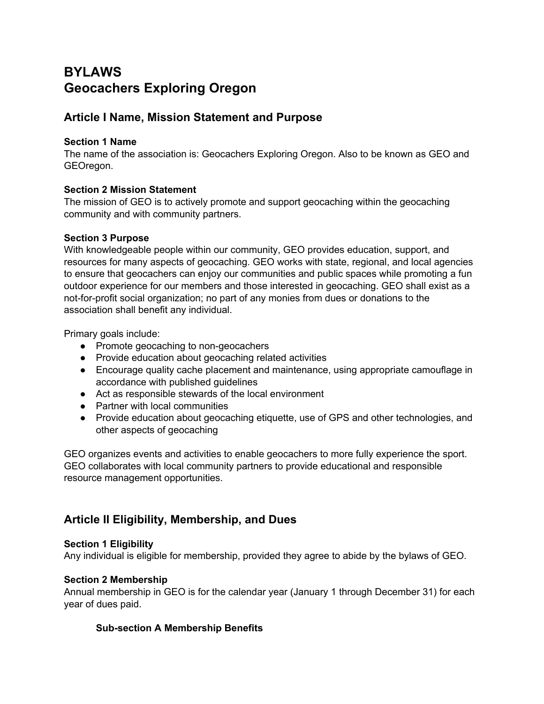# **BYLAWS Geocachers Exploring Oregon**

## **Article I Name, Mission Statement and Purpose**

#### **Section 1 Name**

The name of the association is: Geocachers Exploring Oregon. Also to be known as GEO and GEOregon.

### **Section 2 Mission Statement**

The mission of GEO is to actively promote and support geocaching within the geocaching community and with community partners.

#### **Section 3 Purpose**

With knowledgeable people within our community, GEO provides education, support, and resources for many aspects of geocaching. GEO works with state, regional, and local agencies to ensure that geocachers can enjoy our communities and public spaces while promoting a fun outdoor experience for our members and those interested in geocaching. GEO shall exist as a not-for-profit social organization; no part of any monies from dues or donations to the association shall benefit any individual.

Primary goals include:

- Promote geocaching to non-geocachers
- Provide education about geocaching related activities
- Encourage quality cache placement and maintenance, using appropriate camouflage in accordance with published guidelines
- Act as responsible stewards of the local environment
- Partner with local communities
- Provide education about geocaching etiquette, use of GPS and other technologies, and other aspects of geocaching

GEO organizes events and activities to enable geocachers to more fully experience the sport. GEO collaborates with local community partners to provide educational and responsible resource management opportunities.

## **Article II Eligibility, Membership, and Dues**

#### **Section 1 Eligibility**

Any individual is eligible for membership, provided they agree to abide by the bylaws of GEO.

#### **Section 2 Membership**

Annual membership in GEO is for the calendar year (January 1 through December 31) for each year of dues paid.

### **Sub-section A Membership Benefits**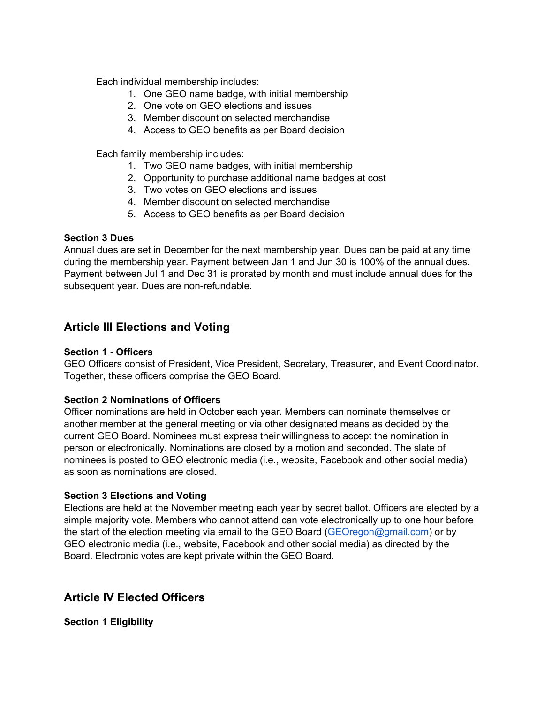Each individual membership includes:

- 1. One GEO name badge, with initial membership
- 2. One vote on GEO elections and issues
- 3. Member discount on selected merchandise
- 4. Access to GEO benefits as per Board decision

Each family membership includes:

- 1. Two GEO name badges, with initial membership
- 2. Opportunity to purchase additional name badges at cost
- 3. Two votes on GEO elections and issues
- 4. Member discount on selected merchandise
- 5. Access to GEO benefits as per Board decision

#### **Section 3 Dues**

Annual dues are set in December for the next membership year. Dues can be paid at any time during the membership year. Payment between Jan 1 and Jun 30 is 100% of the annual dues. Payment between Jul 1 and Dec 31 is prorated by month and must include annual dues for the subsequent year. Dues are non-refundable.

### **Article III Elections and Voting**

#### **Section 1 - Officers**

GEO Officers consist of President, Vice President, Secretary, Treasurer, and Event Coordinator. Together, these officers comprise the GEO Board.

#### **Section 2 Nominations of Officers**

Officer nominations are held in October each year. Members can nominate themselves or another member at the general meeting or via other designated means as decided by the current GEO Board. Nominees must express their willingness to accept the nomination in person or electronically. Nominations are closed by a motion and seconded. The slate of nominees is posted to GEO electronic media (i.e., website, Facebook and other social media) as soon as nominations are closed.

#### **Section 3 Elections and Voting**

Elections are held at the November meeting each year by secret ballot. Officers are elected by a simple majority vote. Members who cannot attend can vote electronically up to one hour before the start of the election meeting via email to the GEO Board (GEOregon@gmail.com) or by GEO electronic media (i.e., website, Facebook and other social media) as directed by the Board. Electronic votes are kept private within the GEO Board.

### **Article IV Elected Officers**

**Section 1 Eligibility**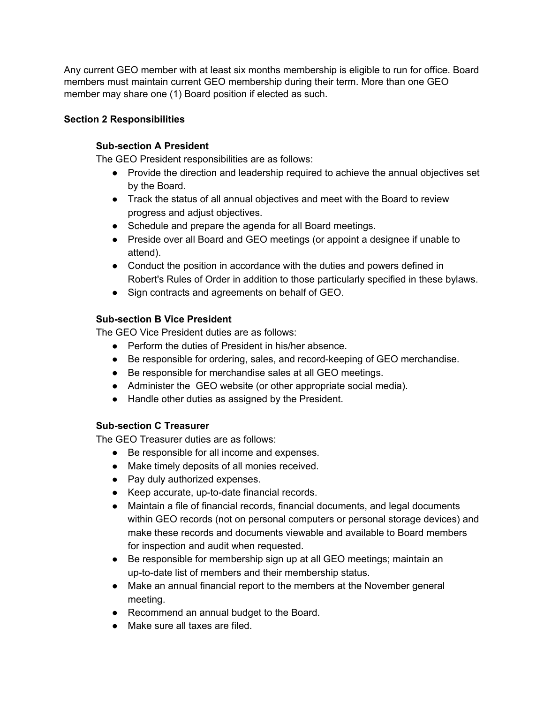Any current GEO member with at least six months membership is eligible to run for office. Board members must maintain current GEO membership during their term. More than one GEO member may share one (1) Board position if elected as such.

### **Section 2 Responsibilities**

### **Sub-section A President**

The GEO President responsibilities are as follows:

- Provide the direction and leadership required to achieve the annual objectives set by the Board.
- Track the status of all annual objectives and meet with the Board to review progress and adjust objectives.
- Schedule and prepare the agenda for all Board meetings.
- Preside over all Board and GEO meetings (or appoint a designee if unable to attend).
- Conduct the position in accordance with the duties and powers defined in Robert's Rules of Order in addition to those particularly specified in these bylaws.
- Sign contracts and agreements on behalf of GEO.

### **Sub-section B Vice President**

The GEO Vice President duties are as follows:

- Perform the duties of President in his/her absence.
- Be responsible for ordering, sales, and record-keeping of GEO merchandise.
- Be responsible for merchandise sales at all GEO meetings.
- Administer the GEO website (or other appropriate social media).
- Handle other duties as assigned by the President.

### **Sub-section C Treasurer**

The GEO Treasurer duties are as follows:

- Be responsible for all income and expenses.
- Make timely deposits of all monies received.
- Pay duly authorized expenses.
- Keep accurate, up-to-date financial records.
- Maintain a file of financial records, financial documents, and legal documents within GEO records (not on personal computers or personal storage devices) and make these records and documents viewable and available to Board members for inspection and audit when requested.
- Be responsible for membership sign up at all GEO meetings; maintain an up-to-date list of members and their membership status.
- Make an annual financial report to the members at the November general meeting.
- Recommend an annual budget to the Board.
- Make sure all taxes are filed.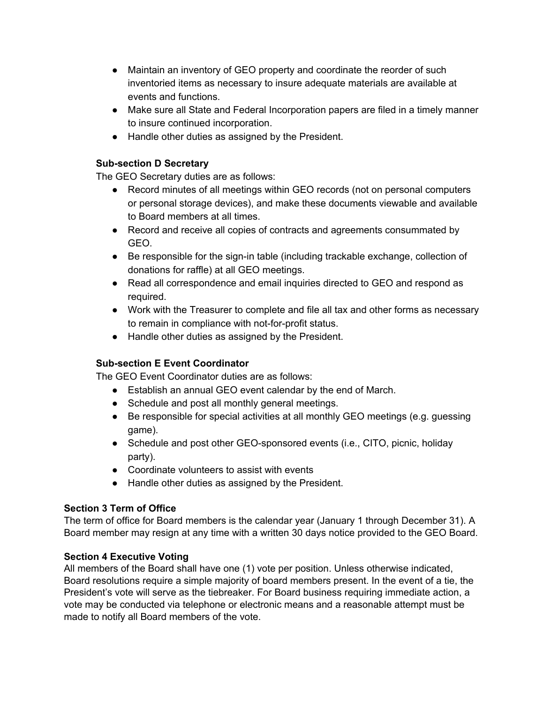- Maintain an inventory of GEO property and coordinate the reorder of such inventoried items as necessary to insure adequate materials are available at events and functions.
- Make sure all State and Federal Incorporation papers are filed in a timely manner to insure continued incorporation.
- Handle other duties as assigned by the President.

### **Sub-section D Secretary**

The GEO Secretary duties are as follows:

- Record minutes of all meetings within GEO records (not on personal computers or personal storage devices), and make these documents viewable and available to Board members at all times.
- Record and receive all copies of contracts and agreements consummated by GEO.
- Be responsible for the sign-in table (including trackable exchange, collection of donations for raffle) at all GEO meetings.
- Read all correspondence and email inquiries directed to GEO and respond as required.
- Work with the Treasurer to complete and file all tax and other forms as necessary to remain in compliance with not-for-profit status.
- Handle other duties as assigned by the President.

### **Sub-section E Event Coordinator**

The GEO Event Coordinator duties are as follows:

- Establish an annual GEO event calendar by the end of March.
- Schedule and post all monthly general meetings.
- Be responsible for special activities at all monthly GEO meetings (e.g. quessing game).
- Schedule and post other GEO-sponsored events (i.e., CITO, picnic, holiday party).
- Coordinate volunteers to assist with events
- Handle other duties as assigned by the President.

### **Section 3 Term of Office**

The term of office for Board members is the calendar year (January 1 through December 31). A Board member may resign at any time with a written 30 days notice provided to the GEO Board.

### **Section 4 Executive Voting**

All members of the Board shall have one (1) vote per position. Unless otherwise indicated, Board resolutions require a simple majority of board members present. In the event of a tie, the President's vote will serve as the tiebreaker. For Board business requiring immediate action, a vote may be conducted via telephone or electronic means and a reasonable attempt must be made to notify all Board members of the vote.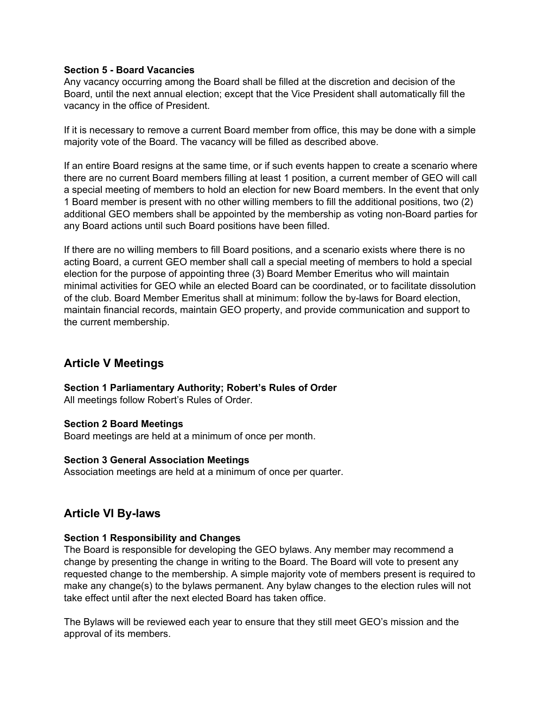#### **Section 5 - Board Vacancies**

Any vacancy occurring among the Board shall be filled at the discretion and decision of the Board, until the next annual election; except that the Vice President shall automatically fill the vacancy in the office of President.

If it is necessary to remove a current Board member from office, this may be done with a simple majority vote of the Board. The vacancy will be filled as described above.

If an entire Board resigns at the same time, or if such events happen to create a scenario where there are no current Board members filling at least 1 position, a current member of GEO will call a special meeting of members to hold an election for new Board members. In the event that only 1 Board member is present with no other willing members to fill the additional positions, two (2) additional GEO members shall be appointed by the membership as voting non-Board parties for any Board actions until such Board positions have been filled.

If there are no willing members to fill Board positions, and a scenario exists where there is no acting Board, a current GEO member shall call a special meeting of members to hold a special election for the purpose of appointing three (3) Board Member Emeritus who will maintain minimal activities for GEO while an elected Board can be coordinated, or to facilitate dissolution of the club. Board Member Emeritus shall at minimum: follow the by-laws for Board election, maintain financial records, maintain GEO property, and provide communication and support to the current membership.

## **Article V Meetings**

**Section 1 Parliamentary Authority; Robert's Rules of Order**

All meetings follow Robert's Rules of Order.

#### **Section 2 Board Meetings**

Board meetings are held at a minimum of once per month.

#### **Section 3 General Association Meetings**

Association meetings are held at a minimum of once per quarter.

### **Article VI By-laws**

#### **Section 1 Responsibility and Changes**

The Board is responsible for developing the GEO bylaws. Any member may recommend a change by presenting the change in writing to the Board. The Board will vote to present any requested change to the membership. A simple majority vote of members present is required to make any change(s) to the bylaws permanent. Any bylaw changes to the election rules will not take effect until after the next elected Board has taken office.

The Bylaws will be reviewed each year to ensure that they still meet GEO's mission and the approval of its members.